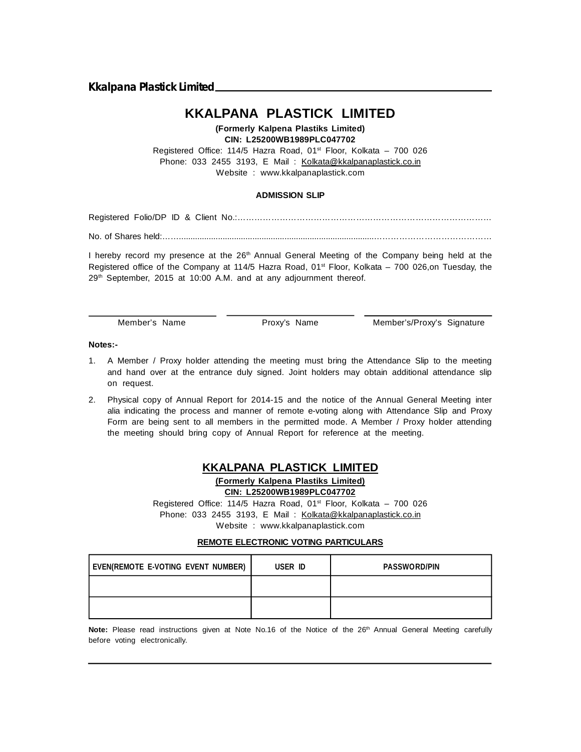**Kkalpana Plastick Limited**

# **KKALPANA PLASTICK LIMITED**

#### **(Formerly Kalpena Plastiks Limited) CIN: L25200WB1989PLC047702**

Registered Office: 114/5 Hazra Road, 01<sup>st</sup> Floor, Kolkata - 700 026 Phone: 033 2455 3193, E Mail : Kolkata@kkalpanaplastick.co.in Website : www.kkalpanaplastick.com

### **ADMISSION SLIP**

Registered Folio/DP ID & Client No.:………………………………………………………………………………

No. of Shares held:…….....................................................................................……………………………………

I hereby record my presence at the  $26<sup>th</sup>$  Annual General Meeting of the Company being held at the Registered office of the Company at 114/5 Hazra Road,  $01<sup>st</sup>$  Floor, Kolkata – 700 026,on Tuesday, the 29<sup>th</sup> September, 2015 at 10:00 A.M. and at any adjournment thereof.

Member's Name Proxy's Name Member's/Proxy's Signature

#### **Notes:-**

- 1. A Member / Proxy holder attending the meeting must bring the Attendance Slip to the meeting and hand over at the entrance duly signed. Joint holders may obtain additional attendance slip on request.
- 2. Physical copy of Annual Report for 2014-15 and the notice of the Annual General Meeting inter alia indicating the process and manner of remote e-voting along with Attendance Slip and Proxy Form are being sent to all members in the permitted mode. A Member / Proxy holder attending the meeting should bring copy of Annual Report for reference at the meeting.

# **KKALPANA PLASTICK LIMITED**

**(Formerly Kalpena Plastiks Limited) CIN: L25200WB1989PLC047702**

Registered Office: 114/5 Hazra Road, 01<sup>st</sup> Floor, Kolkata - 700 026 Phone: 033 2455 3193, E Mail : Kolkata@kkalpanaplastick.co.in Website : www.kkalpanaplastick.com

### **REMOTE ELECTRONIC VOTING PARTICULARS**

| EVEN(REMOTE E-VOTING EVENT NUMBER) | USER ID | <b>PASSWORD/PIN</b> |
|------------------------------------|---------|---------------------|
|                                    |         |                     |
|                                    |         |                     |

Note: Please read instructions given at Note No.16 of the Notice of the 26<sup>th</sup> Annual General Meeting carefully before voting electronically.